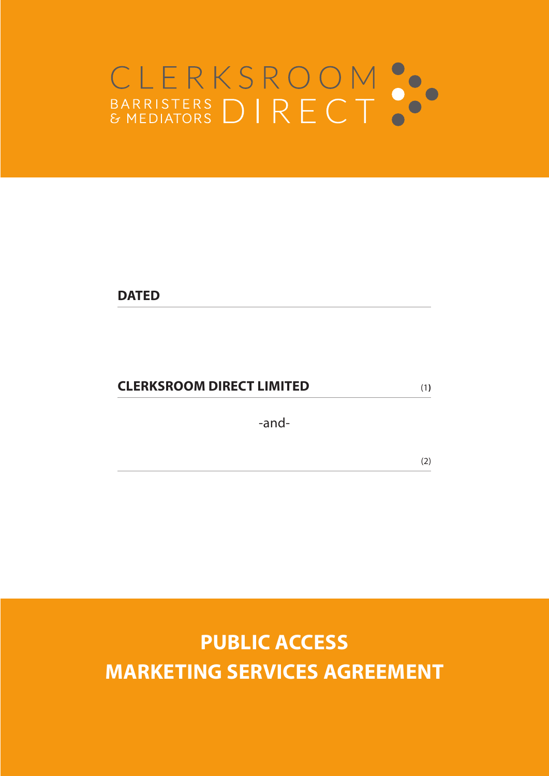# CLERKSROOM<br>BARRISTERS DIRECT

**DATED** 

# **CLERKSROOM DIRECT LIMITED** (1**)**

-and-

(2)

**PUBLIC ACCESS MARKETING SERVICES AGREEMENT**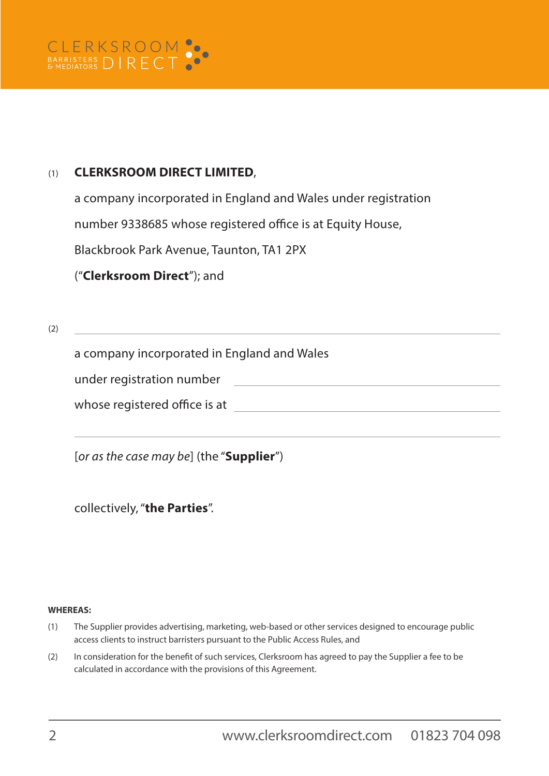## (1) **CLERKSROOM DIRECT LIMITED**,

a company incorporated in England and Wales under registration

number 9338685 whose registered office is at Equity House,

Blackbrook Park Avenue, Taunton, TA1 2PX

("**Clerksroom Direct**"); and

(2)

a company incorporated in England and Wales

under registration number

whose registered office is at a set of the set of the set of the set of the set of the set of the set of the set of the set of the set of the set of the set of the set of the set of the set of the set of the set of the set

[*or as the case may be*] (the "**Supplier**")

collectively, "**the Parties**".

### **WHEREAS:**

- (1) The Supplier provides advertising, marketing, web-based or other services designed to encourage public access clients to instruct barristers pursuant to the Public Access Rules, and
- (2) In consideration for the benefit of such services, Clerksroom has agreed to pay the Supplier a fee to be calculated in accordance with the provisions of this Agreement.

<u> 1989 - Johann Barbara, martin amerikan basal da</u>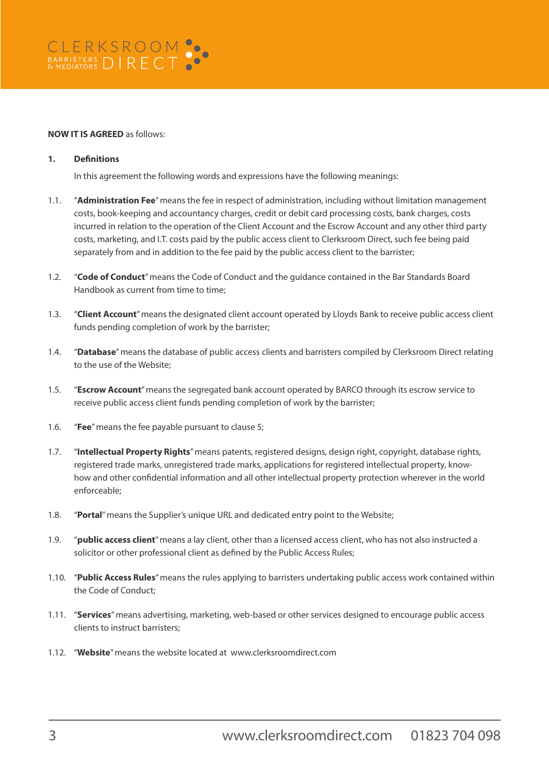### **NOW IT IS AGREED** as follows:

### **1. Definitions**

In this agreement the following words and expressions have the following meanings:

- 1.1. "**Administration Fee**" means the fee in respect of administration, including without limitation management costs, book-keeping and accountancy charges, credit or debit card processing costs, bank charges, costs incurred in relation to the operation of the Client Account and the Escrow Account and any other third party costs, marketing, and I.T. costs paid by the public access client to Clerksroom Direct, such fee being paid separately from and in addition to the fee paid by the public access client to the barrister;
- 1.2. "**Code of Conduct**" means the Code of Conduct and the guidance contained in the Bar Standards Board Handbook as current from time to time;
- 1.3. "**Client Account**" means the designated client account operated by Lloyds Bank to receive public access client funds pending completion of work by the barrister;
- 1.4. "**Database**" means the database of public access clients and barristers compiled by Clerksroom Direct relating to the use of the Website;
- 1.5. "**Escrow Account**" means the segregated bank account operated by BARCO through its escrow service to receive public access client funds pending completion of work by the barrister;
- 1.6. "**Fee**" means the fee payable pursuant to clause 5;
- 1.7. "**Intellectual Property Rights**" means patents, registered designs, design right, copyright, database rights, registered trade marks, unregistered trade marks, applications for registered intellectual property, knowhow and other confidential information and all other intellectual property protection wherever in the world enforceable;
- 1.8. "**Portal**" means the Supplier's unique URL and dedicated entry point to the Website;
- 1.9. "**public access client**" means a lay client, other than a licensed access client, who has not also instructed a solicitor or other professional client as defined by the Public Access Rules;
- 1.10. "**Public Access Rules**" means the rules applying to barristers undertaking public access work contained within the Code of Conduct;
- 1.11. "**Services**" means advertising, marketing, web-based or other services designed to encourage public access clients to instruct barristers;
- 1.12. "**Website**" means the website located at www.clerksroomdirect.com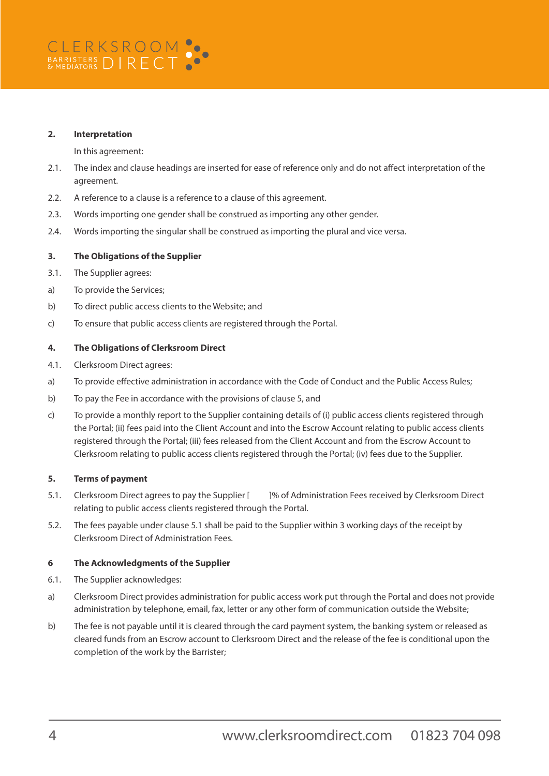### **2. Interpretation**

In this agreement:

- 2.1. The index and clause headings are inserted for ease of reference only and do not affect interpretation of the agreement.
- 2.2. A reference to a clause is a reference to a clause of this agreement.
- 2.3. Words importing one gender shall be construed as importing any other gender.
- 2.4. Words importing the singular shall be construed as importing the plural and vice versa.

### **3. The Obligations of the Supplier**

- 3.1. The Supplier agrees:
- a) To provide the Services;
- b) To direct public access clients to the Website; and
- c) To ensure that public access clients are registered through the Portal.

### **4. The Obligations of Clerksroom Direct**

- 4.1. Clerksroom Direct agrees:
- a) To provide effective administration in accordance with the Code of Conduct and the Public Access Rules;
- b) To pay the Fee in accordance with the provisions of clause 5, and
- c) To provide a monthly report to the Supplier containing details of (i) public access clients registered through the Portal; (ii) fees paid into the Client Account and into the Escrow Account relating to public access clients registered through the Portal; (iii) fees released from the Client Account and from the Escrow Account to Clerksroom relating to public access clients registered through the Portal; (iv) fees due to the Supplier.

### **5. Terms of payment**

- 5.1. Clerksroom Direct agrees to pay the Supplier [ ]% of Administration Fees received by Clerksroom Direct relating to public access clients registered through the Portal.
- 5.2. The fees payable under clause 5.1 shall be paid to the Supplier within 3 working days of the receipt by Clerksroom Direct of Administration Fees.

### **6 The Acknowledgments of the Supplier**

- 6.1. The Supplier acknowledges:
- a) Clerksroom Direct provides administration for public access work put through the Portal and does not provide administration by telephone, email, fax, letter or any other form of communication outside the Website;
- b) The fee is not payable until it is cleared through the card payment system, the banking system or released as cleared funds from an Escrow account to Clerksroom Direct and the release of the fee is conditional upon the completion of the work by the Barrister;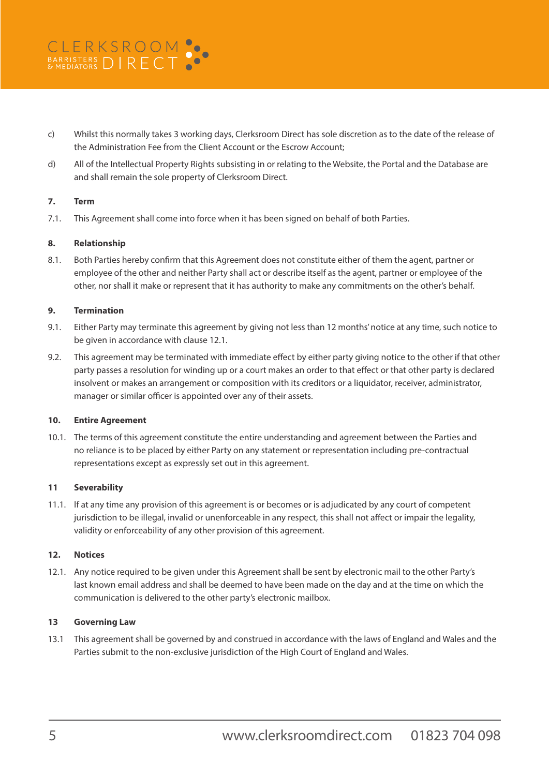- c) Whilst this normally takes 3 working days, Clerksroom Direct has sole discretion as to the date of the release of the Administration Fee from the Client Account or the Escrow Account;
- d) All of the Intellectual Property Rights subsisting in or relating to the Website, the Portal and the Database are and shall remain the sole property of Clerksroom Direct.

### **7. Term**

7.1. This Agreement shall come into force when it has been signed on behalf of both Parties.

### **8. Relationship**

8.1. Both Parties hereby confirm that this Agreement does not constitute either of them the agent, partner or employee of the other and neither Party shall act or describe itself as the agent, partner or employee of the other, nor shall it make or represent that it has authority to make any commitments on the other's behalf.

### **9. Termination**

- 9.1. Either Party may terminate this agreement by giving not less than 12 months' notice at any time, such notice to be given in accordance with clause 12.1.
- 9.2. This agreement may be terminated with immediate effect by either party giving notice to the other if that other party passes a resolution for winding up or a court makes an order to that effect or that other party is declared insolvent or makes an arrangement or composition with its creditors or a liquidator, receiver, administrator, manager or similar officer is appointed over any of their assets.

### **10. Entire Agreement**

10.1. The terms of this agreement constitute the entire understanding and agreement between the Parties and no reliance is to be placed by either Party on any statement or representation including pre-contractual representations except as expressly set out in this agreement.

### **11 Severability**

11.1. If at any time any provision of this agreement is or becomes or is adjudicated by any court of competent jurisdiction to be illegal, invalid or unenforceable in any respect, this shall not affect or impair the legality, validity or enforceability of any other provision of this agreement.

### **12. Notices**

12.1. Any notice required to be given under this Agreement shall be sent by electronic mail to the other Party's last known email address and shall be deemed to have been made on the day and at the time on which the communication is delivered to the other party's electronic mailbox.

### **13 Governing Law**

13.1 This agreement shall be governed by and construed in accordance with the laws of England and Wales and the Parties submit to the non-exclusive jurisdiction of the High Court of England and Wales.